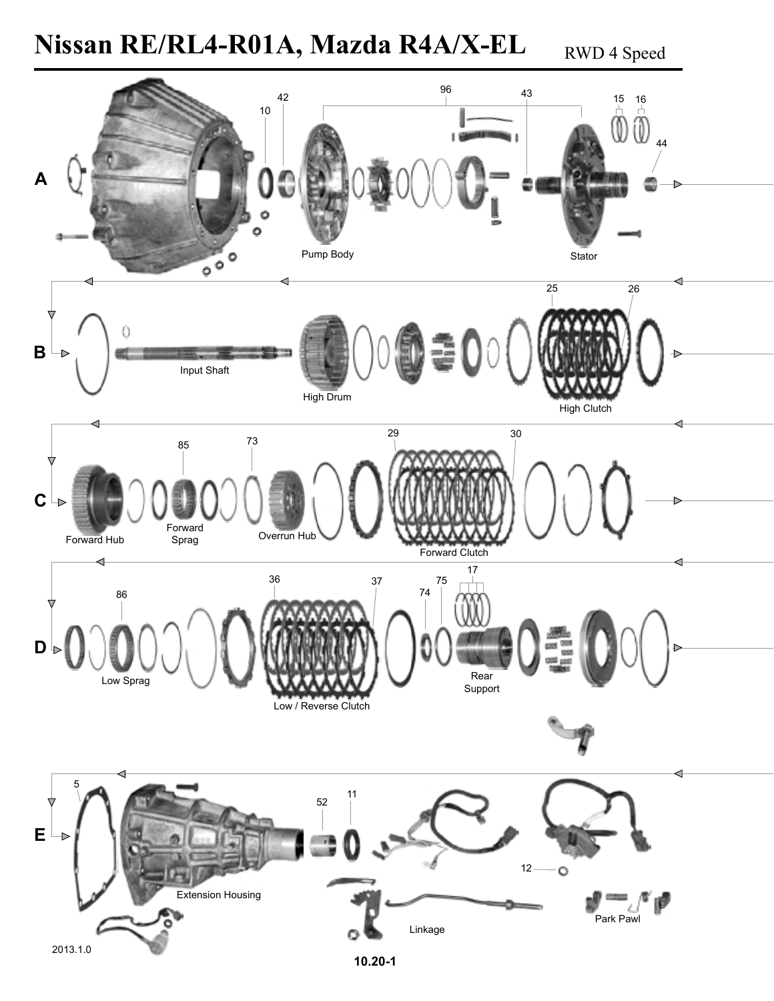# Nissan RE/RL4-R01A, Mazda R4A/X-EL RWD 4 Speed

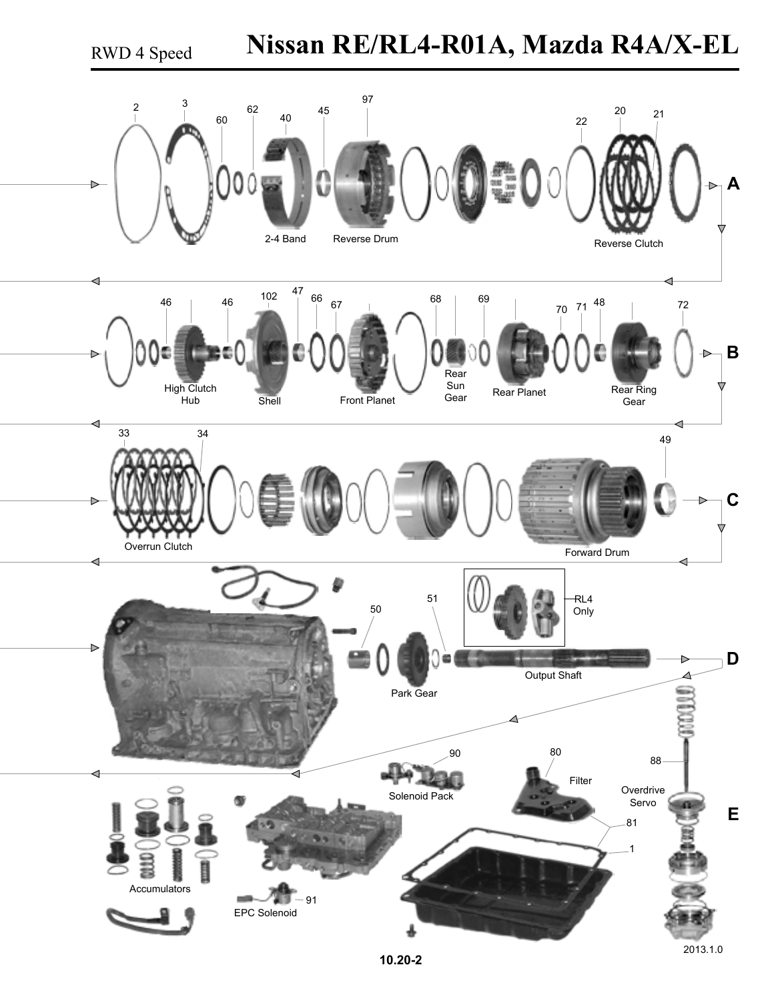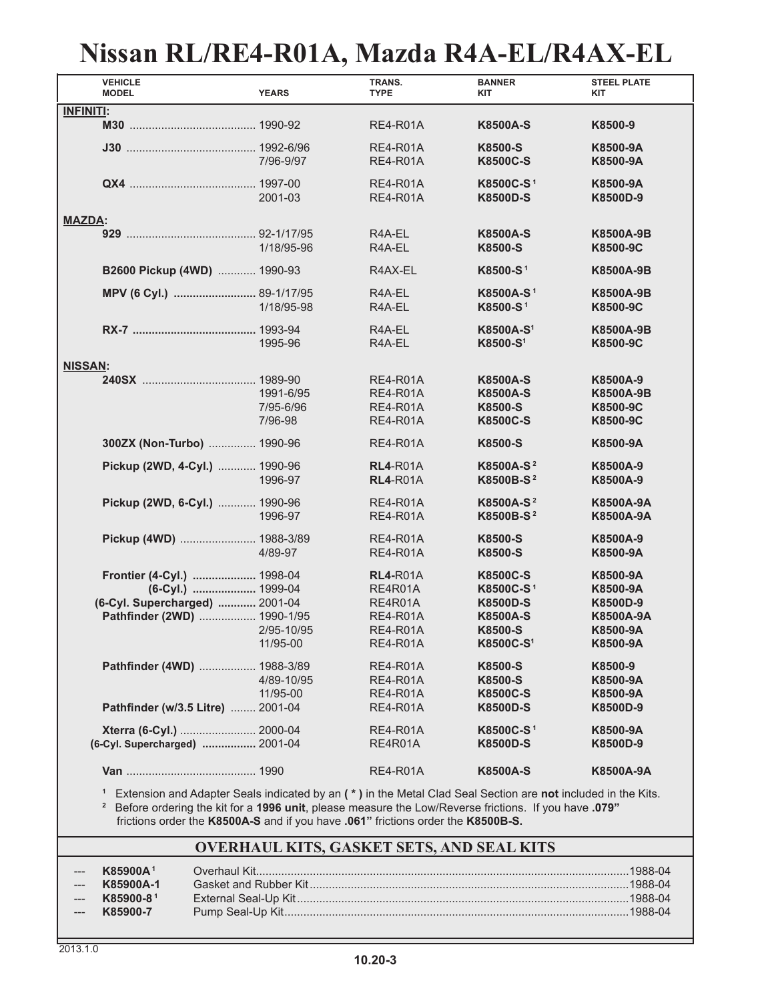### **Nissan RL/RE4-R01A, Mazda R4A-EL/R4AX-EL**

| <b>VEHICLE</b><br><b>MODEL</b>                                                                                   | <b>YEARS</b>                      | TRANS.<br><b>TYPE</b>                                                                          | <b>BANNER</b><br><b>KIT</b>                                                                                        | <b>STEEL PLATE</b><br><b>KIT</b>                                             |  |  |
|------------------------------------------------------------------------------------------------------------------|-----------------------------------|------------------------------------------------------------------------------------------------|--------------------------------------------------------------------------------------------------------------------|------------------------------------------------------------------------------|--|--|
| <b>INFINITI:</b>                                                                                                 |                                   |                                                                                                |                                                                                                                    |                                                                              |  |  |
|                                                                                                                  |                                   | <b>RE4-R01A</b>                                                                                | <b>K8500A-S</b>                                                                                                    | K8500-9                                                                      |  |  |
|                                                                                                                  | 7/96-9/97                         | <b>RE4-R01A</b><br><b>RE4-R01A</b>                                                             | K8500-S<br><b>K8500C-S</b>                                                                                         | K8500-9A<br>K8500-9A                                                         |  |  |
|                                                                                                                  | 2001-03                           | <b>RE4-R01A</b><br><b>RE4-R01A</b>                                                             | K8500C-S <sup>1</sup><br><b>K8500D-S</b>                                                                           | K8500-9A<br>K8500D-9                                                         |  |  |
| <b>MAZDA:</b>                                                                                                    |                                   |                                                                                                |                                                                                                                    |                                                                              |  |  |
|                                                                                                                  | 1/18/95-96                        | R4A-EL<br>R4A-EL                                                                               | <b>K8500A-S</b><br>K8500-S                                                                                         | K8500A-9B<br>K8500-9C                                                        |  |  |
| B2600 Pickup (4WD)  1990-93                                                                                      |                                   | R4AX-EL                                                                                        | K8500-S <sup>1</sup>                                                                                               | <b>K8500A-9B</b>                                                             |  |  |
|                                                                                                                  | 1/18/95-98                        | R4A-EL<br>R4A-EL                                                                               | K8500A-S <sup>1</sup><br>K8500-S <sup>1</sup>                                                                      | <b>K8500A-9B</b><br>K8500-9C                                                 |  |  |
|                                                                                                                  | 1995-96                           | R <sub>4</sub> A-EL<br>R <sub>4</sub> A-EL                                                     | K8500A-S <sup>1</sup><br>K8500-S <sup>1</sup>                                                                      | K8500A-9B<br>K8500-9C                                                        |  |  |
| <b>NISSAN:</b>                                                                                                   |                                   |                                                                                                |                                                                                                                    |                                                                              |  |  |
|                                                                                                                  | 1991-6/95<br>7/95-6/96<br>7/96-98 | <b>RE4-R01A</b><br><b>RE4-R01A</b><br><b>RE4-R01A</b><br><b>RE4-R01A</b>                       | <b>K8500A-S</b><br><b>K8500A-S</b><br>K8500-S<br><b>K8500C-S</b>                                                   | K8500A-9<br>K8500A-9B<br>K8500-9C<br>K8500-9C                                |  |  |
| 300ZX (Non-Turbo)  1990-96                                                                                       |                                   | <b>RE4-R01A</b>                                                                                | K8500-S                                                                                                            | K8500-9A                                                                     |  |  |
| Pickup (2WD, 4-Cyl.)  1990-96                                                                                    | 1996-97                           | <b>RL4-R01A</b><br><b>RL4-R01A</b>                                                             | K8500A-S <sup>2</sup><br>K8500B-S <sup>2</sup>                                                                     | K8500A-9<br>K8500A-9                                                         |  |  |
| Pickup (2WD, 6-Cyl.)  1990-96                                                                                    | 1996-97                           | <b>RE4-R01A</b><br><b>RE4-R01A</b>                                                             | K8500A-S <sup>2</sup><br>K8500B-S <sup>2</sup>                                                                     | <b>K8500A-9A</b><br><b>K8500A-9A</b>                                         |  |  |
| Pickup (4WD)  1988-3/89                                                                                          | 4/89-97                           | <b>RE4-R01A</b><br><b>RE4-R01A</b>                                                             | K8500-S<br>K8500-S                                                                                                 | K8500A-9<br>K8500-9A                                                         |  |  |
| Frontier (4-Cyl.)  1998-04<br>(6-Cyl.)  1999-04<br>(6-Cyl. Supercharged)  2001-04<br>Pathfinder (2WD)  1990-1/95 | 2/95-10/95<br>11/95-00            | <b>RL4-R01A</b><br>RE4R01A<br>RE4R01A<br><b>RE4-R01A</b><br><b>RE4-R01A</b><br><b>RE4-R01A</b> | <b>K8500C-S</b><br>K8500C-S <sup>1</sup><br><b>K8500D-S</b><br><b>K8500A-S</b><br>K8500-S<br>K8500C-S <sup>1</sup> | K8500-9A<br>K8500-9A<br>K8500D-9<br><b>K8500A-9A</b><br>K8500-9A<br>K8500-9A |  |  |
| Pathfinder (4WD)  1988-3/89                                                                                      | 4/89-10/95<br>11/95-00            | <b>RE4-R01A</b><br><b>RE4-R01A</b><br><b>RE4-R01A</b>                                          | K8500-S<br>K8500-S<br><b>K8500C-S</b>                                                                              | K8500-9<br>K8500-9A<br>K8500-9A                                              |  |  |
| Pathfinder (w/3.5 Litre)  2001-04                                                                                |                                   | <b>RE4-R01A</b>                                                                                | <b>K8500D-S</b>                                                                                                    | K8500D-9                                                                     |  |  |
| Xterra (6-Cyl.)  2000-04<br>(6-Cyl. Supercharged)  2001-04                                                       |                                   | <b>RE4-R01A</b><br>RE4R01A                                                                     | K8500C-S <sup>1</sup><br><b>K8500D-S</b>                                                                           | K8500-9A<br>K8500D-9                                                         |  |  |
|                                                                                                                  |                                   | <b>RE4-R01A</b>                                                                                | <b>K8500A-S</b>                                                                                                    | K8500A-9A                                                                    |  |  |

 **<sup>1</sup>** Extension and Adapter Seals indicated by an **( \* )** in the Metal Clad Seal Section are **not** included in the Kits.  **2** Before ordering the kit for a **1996 unit**, please measure the Low/Reverse frictions. If you have **.079"**

frictions order the **K8500A-S** and if you have **.061"** frictions order the **K8500B-S.**

#### **OVERHAUL KITS, GASKET SETS, AND SEAL KITS**

| <b>K85900A1</b> |  |
|-----------------|--|
| K85900A-1       |  |
| K85900-81       |  |
| K85900-7        |  |
|                 |  |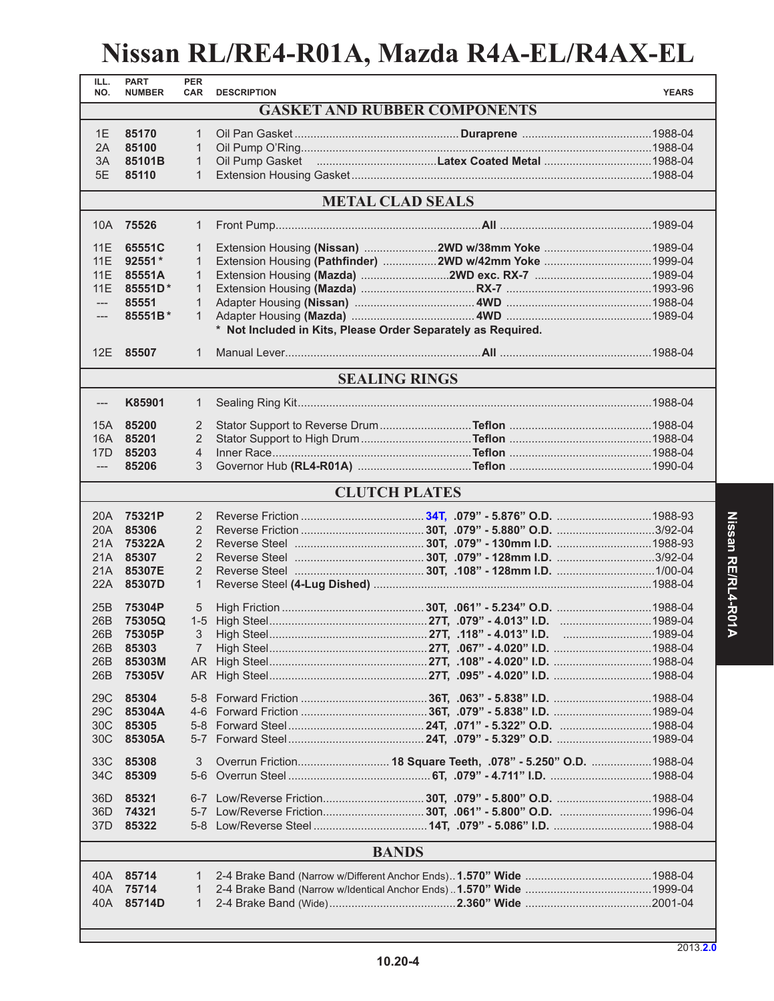# **Nissan RL/RE4-R01A, Mazda R4A-EL/R4AX-EL**

| ILL.<br>NO.         | <b>PART</b><br><b>NUMBER</b> | <b>PER</b><br>CAR | <b>DESCRIPTION</b>                                           |                                                               | <b>YEARS</b> |
|---------------------|------------------------------|-------------------|--------------------------------------------------------------|---------------------------------------------------------------|--------------|
|                     |                              |                   |                                                              | <b>GASKET AND RUBBER COMPONENTS</b>                           |              |
|                     |                              |                   |                                                              |                                                               |              |
| 1E                  | 85170<br>85100               | 1                 |                                                              |                                                               |              |
| 2A                  | 85101B                       | 1                 |                                                              |                                                               |              |
| 3A                  |                              | $\mathbf{1}$      |                                                              |                                                               |              |
| 5E                  | 85110                        | $\mathbf{1}$      |                                                              |                                                               |              |
|                     |                              |                   |                                                              | <b>METAL CLAD SEALS</b>                                       |              |
|                     | 10A 75526                    | 1                 |                                                              |                                                               |              |
| 11E                 | 65551C                       | 1                 |                                                              | Extension Housing (Nissan) 2WD w/38mm Yoke 1989-04            |              |
| 11E                 | $92551*$                     | 1                 |                                                              | Extension Housing (Pathfinder) 2WD w/42mm Yoke 1999-04        |              |
| 11E                 | 85551A                       | 1                 |                                                              |                                                               |              |
| 11E                 | 85551D*                      | $\mathbf{1}$      |                                                              |                                                               |              |
| $\qquad \qquad - -$ | 85551                        | 1                 |                                                              |                                                               |              |
| $\qquad \qquad - -$ | 85551B*                      | 1                 |                                                              |                                                               |              |
|                     |                              |                   | * Not Included in Kits, Please Order Separately as Required. |                                                               |              |
|                     | 12E 85507                    | 1                 |                                                              |                                                               |              |
|                     |                              |                   |                                                              | <b>SEALING RINGS</b>                                          |              |
|                     | K85901                       |                   |                                                              |                                                               |              |
| $---$               |                              | 1                 |                                                              |                                                               |              |
| 15A                 | 85200                        | 2                 |                                                              |                                                               |              |
|                     | 16A 85201                    | $\overline{2}$    |                                                              |                                                               |              |
| 17D                 | 85203                        | 4                 |                                                              |                                                               |              |
| $\qquad \qquad - -$ | 85206                        | 3                 |                                                              |                                                               |              |
|                     |                              |                   |                                                              | <b>CLUTCH PLATES</b>                                          |              |
|                     | 20A 75321P                   | 2                 |                                                              |                                                               |              |
| 20A                 | 85306                        | 2                 |                                                              |                                                               |              |
| 21A                 | 75322A                       | 2                 |                                                              |                                                               |              |
| 21A                 | 85307                        | 2                 |                                                              |                                                               |              |
|                     | 21A 85307E                   | 2                 |                                                              |                                                               |              |
| 22A                 | 85307D                       | $\mathbf{1}$      |                                                              |                                                               |              |
| 25B                 | 75304P                       | 5                 |                                                              |                                                               |              |
| 26B                 | 75305Q                       |                   |                                                              |                                                               |              |
| 26B                 | 75305P                       | 3                 |                                                              |                                                               |              |
| 26B                 | 85303                        | 7                 |                                                              |                                                               |              |
| 26B                 | 85303M                       |                   |                                                              |                                                               |              |
| 26B                 | 75305V                       |                   |                                                              |                                                               |              |
|                     |                              |                   |                                                              |                                                               |              |
| 29 <sub>C</sub>     | 85304                        |                   |                                                              |                                                               |              |
| 29C                 | 85304A                       |                   |                                                              |                                                               |              |
| 30 <sup>C</sup>     | 85305                        |                   |                                                              |                                                               |              |
| 30 <sup>C</sup>     | 85305A                       |                   |                                                              |                                                               |              |
| 33C                 | 85308                        | 3                 |                                                              | Overrun Friction 18 Square Teeth, .078" - 5.250" O.D. 1988-04 |              |
| 34C                 | 85309                        | $5-6$             |                                                              |                                                               |              |
| 36D                 | 85321                        |                   |                                                              | 6-7 Low/Reverse Friction30T, .079" - 5.800" O.D. 1988-04      |              |
| 36D<br>37D          | 74321<br>85322               |                   |                                                              |                                                               |              |
|                     |                              |                   |                                                              |                                                               |              |
|                     |                              |                   |                                                              | <b>BANDS</b>                                                  |              |
|                     | 40A 85714                    | 1                 |                                                              |                                                               |              |
|                     | 40A 75714                    | 1                 |                                                              |                                                               |              |
|                     | 40A 85714D                   | 1                 |                                                              |                                                               |              |
|                     |                              |                   |                                                              |                                                               |              |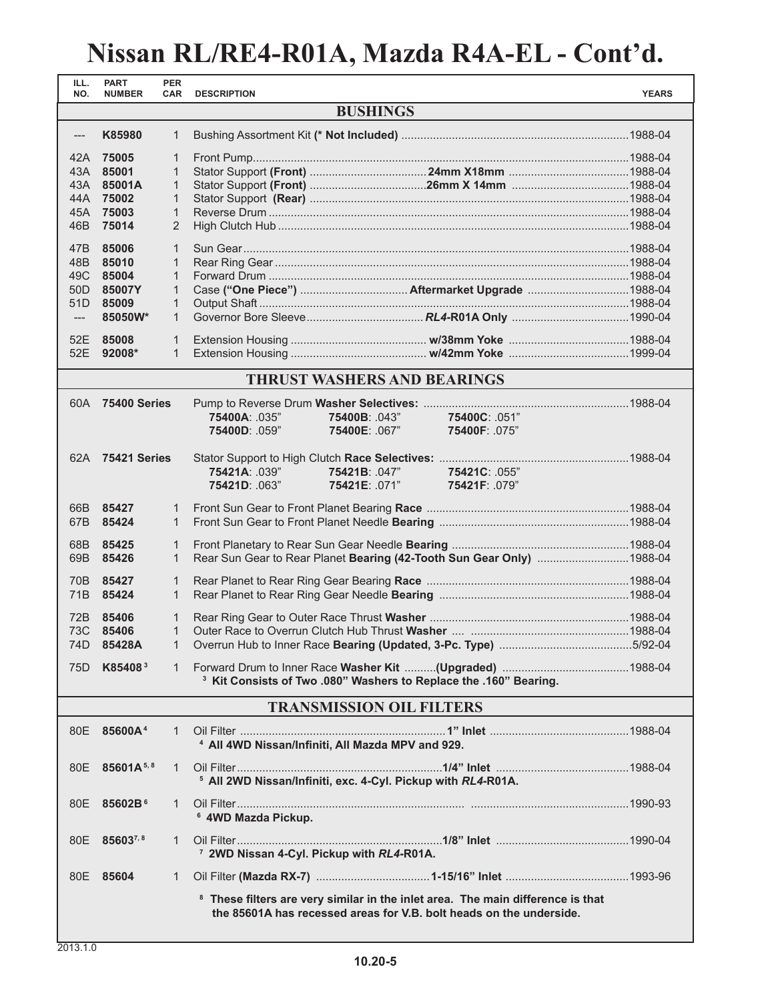# **Nissan RL/RE4-R01A, Mazda R4A-EL - Cont'd.**

| ILL.<br>NO.          | <b>PART</b><br><b>NUMBER</b> | <b>PER</b><br><b>CAR</b> | <b>DESCRIPTION</b>                                                                         | <b>YEARS</b> |  |  |
|----------------------|------------------------------|--------------------------|--------------------------------------------------------------------------------------------|--------------|--|--|
| <b>BUSHINGS</b>      |                              |                          |                                                                                            |              |  |  |
| K85980<br>1<br>$---$ |                              |                          |                                                                                            |              |  |  |
|                      |                              |                          |                                                                                            |              |  |  |
|                      | 42A 75005<br>43A 85001       | 1<br>$\mathbf{1}$        |                                                                                            |              |  |  |
|                      | 43A 85001A                   | 1                        |                                                                                            |              |  |  |
| 44A                  | 75002                        | $\mathbf{1}$             |                                                                                            |              |  |  |
| 45A                  | 75003                        | $\mathbf{1}$             |                                                                                            |              |  |  |
| 46B                  | 75014                        | $\overline{2}$           |                                                                                            |              |  |  |
|                      |                              |                          |                                                                                            |              |  |  |
| 47B                  | 85006                        | $\mathbf{1}$             |                                                                                            |              |  |  |
| 48B                  | 85010                        | $\mathbf{1}$             |                                                                                            |              |  |  |
| 49C                  | 85004                        | $\mathbf{1}$             |                                                                                            |              |  |  |
| 50 <sub>D</sub>      | 85007Y                       | $\mathbf{1}$             |                                                                                            |              |  |  |
| 51 <sub>D</sub>      | 85009                        | $\mathbf{1}$             |                                                                                            |              |  |  |
| $\qquad \qquad - -$  | 85050W*                      | $\mathbf{1}$             |                                                                                            |              |  |  |
|                      | 52E 85008                    | 1                        |                                                                                            |              |  |  |
|                      | 52E 92008*                   | $\mathbf{1}$             |                                                                                            |              |  |  |
|                      |                              |                          |                                                                                            |              |  |  |
|                      |                              |                          | <b>THRUST WASHERS AND BEARINGS</b>                                                         |              |  |  |
|                      | 60A 75400 Series             |                          |                                                                                            |              |  |  |
|                      |                              |                          | 75400A: .035"<br>75400B: .043"<br>75400C: .051"                                            |              |  |  |
|                      |                              |                          | 75400D: .059"<br>75400E: .067"<br>75400F: .075"                                            |              |  |  |
|                      |                              |                          |                                                                                            |              |  |  |
|                      | 62A 75421 Series             |                          |                                                                                            |              |  |  |
|                      |                              |                          | 75421B: .047"<br>75421A: .039"<br>75421C: .055"                                            |              |  |  |
|                      |                              |                          | 75421E: .071"<br>75421D: .063"<br>75421F: .079"                                            |              |  |  |
| 66B                  | 85427                        | 1                        |                                                                                            |              |  |  |
| 67B                  | 85424                        | 1                        |                                                                                            |              |  |  |
|                      |                              |                          |                                                                                            |              |  |  |
| 68B                  | 85425                        | 1                        |                                                                                            |              |  |  |
| 69B                  | 85426                        | $\mathbf{1}$             | Rear Sun Gear to Rear Planet Bearing (42-Tooth Sun Gear Only) 1988-04                      |              |  |  |
| 70B                  | 85427                        | $\mathbf{1}$             |                                                                                            |              |  |  |
| 71B                  | 85424                        | $\mathbf{1}$             |                                                                                            |              |  |  |
|                      |                              |                          |                                                                                            |              |  |  |
| 72B                  | 85406                        | 1                        |                                                                                            |              |  |  |
| 73C                  | 85406                        | $\mathbf{1}$             |                                                                                            |              |  |  |
|                      | 74D <b>85428A</b>            |                          |                                                                                            |              |  |  |
|                      | 75D K85408 <sup>3</sup>      | 1                        |                                                                                            |              |  |  |
|                      |                              |                          | <sup>3</sup> Kit Consists of Two .080" Washers to Replace the .160" Bearing.               |              |  |  |
|                      |                              |                          | <b>TRANSMISSION OIL FILTERS</b>                                                            |              |  |  |
|                      |                              |                          |                                                                                            |              |  |  |
|                      | 80E 85600A <sup>4</sup>      | 1                        |                                                                                            |              |  |  |
|                      |                              |                          | <sup>4</sup> All 4WD Nissan/Infiniti, All Mazda MPV and 929.                               |              |  |  |
|                      | 80E 85601A <sup>5,8</sup>    | 1                        |                                                                                            |              |  |  |
|                      |                              |                          | <sup>5</sup> All 2WD Nissan/Infiniti, exc. 4-Cyl. Pickup with RL4-R01A.                    |              |  |  |
|                      |                              |                          |                                                                                            |              |  |  |
|                      | 80E 85602B <sup>6</sup>      | 1                        |                                                                                            |              |  |  |
|                      |                              |                          | <sup>6</sup> 4WD Mazda Pickup.                                                             |              |  |  |
|                      | 80E 856037,8                 | $\mathbf{1}$             |                                                                                            |              |  |  |
|                      |                              |                          | <sup>7</sup> 2WD Nissan 4-Cyl. Pickup with RL4-R01A.                                       |              |  |  |
|                      | 80E 85604                    | 1                        |                                                                                            |              |  |  |
|                      |                              |                          |                                                                                            |              |  |  |
|                      |                              |                          | <sup>8</sup> These filters are very similar in the inlet area. The main difference is that |              |  |  |
|                      |                              |                          | the 85601A has recessed areas for V.B. bolt heads on the underside.                        |              |  |  |
|                      |                              |                          |                                                                                            |              |  |  |
|                      |                              |                          |                                                                                            |              |  |  |